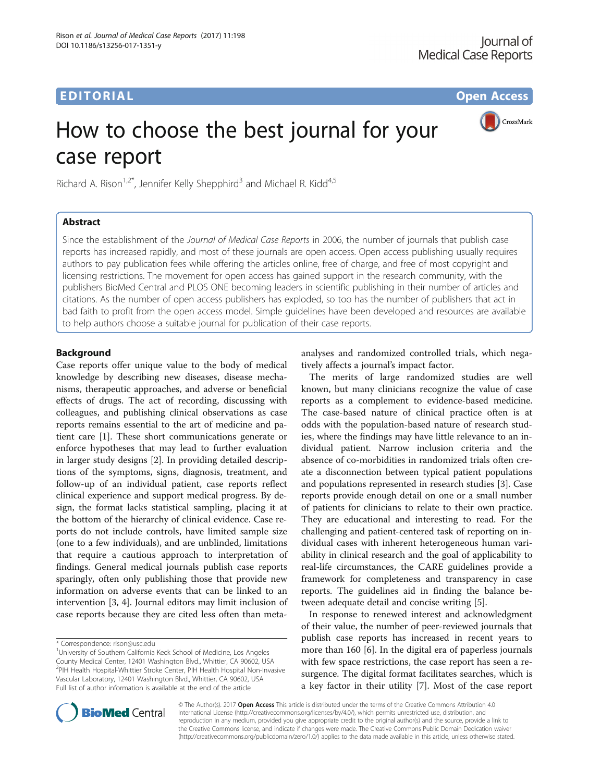## EDITORIAL CONTRACTES CONTRACTES AND ACCESS

CrossMark

# How to choose the best journal for your case report

Richard A. Rison<sup>1,2\*</sup>, Jennifer Kelly Shepphird<sup>3</sup> and Michael R. Kidd<sup>4,5</sup>

## Abstract

Since the establishment of the Journal of Medical Case Reports in 2006, the number of journals that publish case reports has increased rapidly, and most of these journals are open access. Open access publishing usually requires authors to pay publication fees while offering the articles online, free of charge, and free of most copyright and licensing restrictions. The movement for open access has gained support in the research community, with the publishers BioMed Central and PLOS ONE becoming leaders in scientific publishing in their number of articles and citations. As the number of open access publishers has exploded, so too has the number of publishers that act in bad faith to profit from the open access model. Simple guidelines have been developed and resources are available to help authors choose a suitable journal for publication of their case reports.

#### Background

Case reports offer unique value to the body of medical knowledge by describing new diseases, disease mechanisms, therapeutic approaches, and adverse or beneficial effects of drugs. The act of recording, discussing with colleagues, and publishing clinical observations as case reports remains essential to the art of medicine and patient care [\[1](#page-7-0)]. These short communications generate or enforce hypotheses that may lead to further evaluation in larger study designs [\[2](#page-7-0)]. In providing detailed descriptions of the symptoms, signs, diagnosis, treatment, and follow-up of an individual patient, case reports reflect clinical experience and support medical progress. By design, the format lacks statistical sampling, placing it at the bottom of the hierarchy of clinical evidence. Case reports do not include controls, have limited sample size (one to a few individuals), and are unblinded, limitations that require a cautious approach to interpretation of findings. General medical journals publish case reports sparingly, often only publishing those that provide new information on adverse events that can be linked to an intervention [\[3, 4](#page-8-0)]. Journal editors may limit inclusion of case reports because they are cited less often than metaanalyses and randomized controlled trials, which negatively affects a journal's impact factor.

The merits of large randomized studies are well known, but many clinicians recognize the value of case reports as a complement to evidence-based medicine. The case-based nature of clinical practice often is at odds with the population-based nature of research studies, where the findings may have little relevance to an individual patient. Narrow inclusion criteria and the absence of co-morbidities in randomized trials often create a disconnection between typical patient populations and populations represented in research studies [\[3](#page-8-0)]. Case reports provide enough detail on one or a small number of patients for clinicians to relate to their own practice. They are educational and interesting to read. For the challenging and patient-centered task of reporting on individual cases with inherent heterogeneous human variability in clinical research and the goal of applicability to real-life circumstances, the CARE guidelines provide a framework for completeness and transparency in case reports. The guidelines aid in finding the balance between adequate detail and concise writing [[5\]](#page-8-0).

In response to renewed interest and acknowledgment of their value, the number of peer-reviewed journals that publish case reports has increased in recent years to more than 160 [[6\]](#page-8-0). In the digital era of paperless journals with few space restrictions, the case report has seen a resurgence. The digital format facilitates searches, which is a key factor in their utility [\[7\]](#page-8-0). Most of the case report



© The Author(s). 2017 **Open Access** This article is distributed under the terms of the Creative Commons Attribution 4.0 International License [\(http://creativecommons.org/licenses/by/4.0/](http://creativecommons.org/licenses/by/4.0/)), which permits unrestricted use, distribution, and reproduction in any medium, provided you give appropriate credit to the original author(s) and the source, provide a link to the Creative Commons license, and indicate if changes were made. The Creative Commons Public Domain Dedication waiver [\(http://creativecommons.org/publicdomain/zero/1.0/](http://creativecommons.org/publicdomain/zero/1.0/)) applies to the data made available in this article, unless otherwise stated.

<sup>\*</sup> Correspondence: [rison@usc.edu](mailto:rison@usc.edu) <sup>1</sup>

University of Southern California Keck School of Medicine, Los Angeles County Medical Center, 12401 Washington Blvd., Whittier, CA 90602, USA 2 PIH Health Hospital-Whittier Stroke Center, PIH Health Hospital Non-Invasive Vascular Laboratory, 12401 Washington Blvd., Whittier, CA 90602, USA Full list of author information is available at the end of the article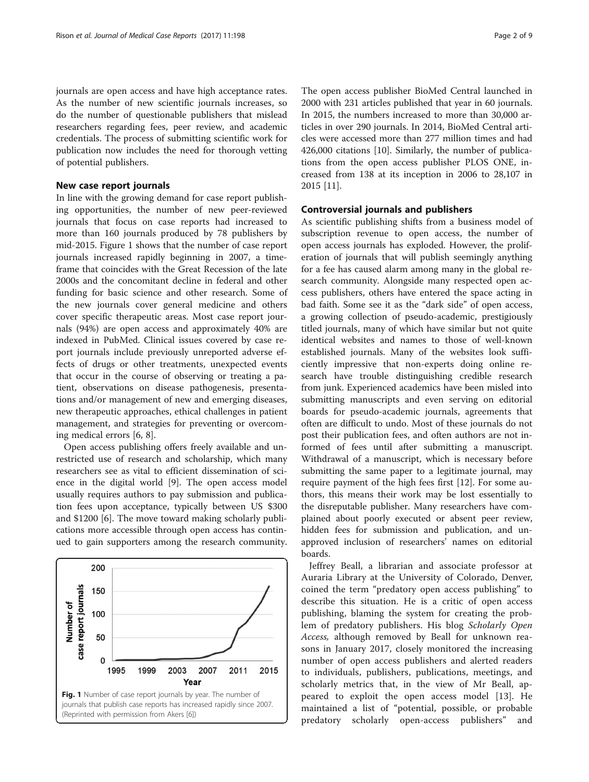journals are open access and have high acceptance rates. As the number of new scientific journals increases, so do the number of questionable publishers that mislead researchers regarding fees, peer review, and academic credentials. The process of submitting scientific work for publication now includes the need for thorough vetting of potential publishers.

#### New case report journals

In line with the growing demand for case report publishing opportunities, the number of new peer-reviewed journals that focus on case reports had increased to more than 160 journals produced by 78 publishers by mid-2015. Figure 1 shows that the number of case report journals increased rapidly beginning in 2007, a timeframe that coincides with the Great Recession of the late 2000s and the concomitant decline in federal and other funding for basic science and other research. Some of the new journals cover general medicine and others cover specific therapeutic areas. Most case report journals (94%) are open access and approximately 40% are indexed in PubMed. Clinical issues covered by case report journals include previously unreported adverse effects of drugs or other treatments, unexpected events that occur in the course of observing or treating a patient, observations on disease pathogenesis, presentations and/or management of new and emerging diseases, new therapeutic approaches, ethical challenges in patient management, and strategies for preventing or overcoming medical errors [\[6](#page-8-0), [8](#page-8-0)].

Open access publishing offers freely available and unrestricted use of research and scholarship, which many researchers see as vital to efficient dissemination of science in the digital world [\[9](#page-8-0)]. The open access model usually requires authors to pay submission and publication fees upon acceptance, typically between US \$300 and \$1200 [\[6](#page-8-0)]. The move toward making scholarly publications more accessible through open access has continued to gain supporters among the research community.



The open access publisher BioMed Central launched in 2000 with 231 articles published that year in 60 journals. In 2015, the numbers increased to more than 30,000 articles in over 290 journals. In 2014, BioMed Central articles were accessed more than 277 million times and had 426,000 citations [\[10](#page-8-0)]. Similarly, the number of publications from the open access publisher PLOS ONE, increased from 138 at its inception in 2006 to 28,107 in 2015 [\[11](#page-8-0)].

### Controversial journals and publishers

As scientific publishing shifts from a business model of subscription revenue to open access, the number of open access journals has exploded. However, the proliferation of journals that will publish seemingly anything for a fee has caused alarm among many in the global research community. Alongside many respected open access publishers, others have entered the space acting in bad faith. Some see it as the "dark side" of open access, a growing collection of pseudo-academic, prestigiously titled journals, many of which have similar but not quite identical websites and names to those of well-known established journals. Many of the websites look sufficiently impressive that non-experts doing online research have trouble distinguishing credible research from junk. Experienced academics have been misled into submitting manuscripts and even serving on editorial boards for pseudo-academic journals, agreements that often are difficult to undo. Most of these journals do not post their publication fees, and often authors are not informed of fees until after submitting a manuscript. Withdrawal of a manuscript, which is necessary before submitting the same paper to a legitimate journal, may require payment of the high fees first [\[12\]](#page-8-0). For some authors, this means their work may be lost essentially to the disreputable publisher. Many researchers have complained about poorly executed or absent peer review, hidden fees for submission and publication, and unapproved inclusion of researchers' names on editorial boards.

Jeffrey Beall, a librarian and associate professor at Auraria Library at the University of Colorado, Denver, coined the term "predatory open access publishing" to describe this situation. He is a critic of open access publishing, blaming the system for creating the problem of predatory publishers. His blog Scholarly Open Access, although removed by Beall for unknown reasons in January 2017, closely monitored the increasing number of open access publishers and alerted readers to individuals, publishers, publications, meetings, and scholarly metrics that, in the view of Mr Beall, appeared to exploit the open access model [\[13](#page-8-0)]. He maintained a list of "potential, possible, or probable predatory scholarly open-access publishers" and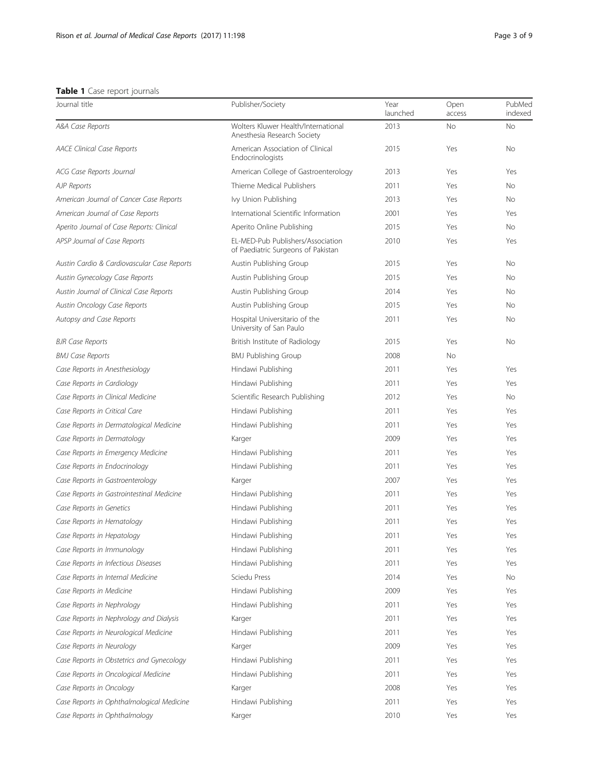## Table 1 Case report journals

| <b>Table I</b> Case report journals         |                                                                         |                  |                |                   |
|---------------------------------------------|-------------------------------------------------------------------------|------------------|----------------|-------------------|
| Journal title                               | Publisher/Society                                                       | Year<br>launched | Open<br>access | PubMed<br>indexed |
| A&A Case Reports                            | Wolters Kluwer Health/International<br>Anesthesia Research Society      | 2013             | No             | No                |
| <b>AACE Clinical Case Reports</b>           | American Association of Clinical<br>Endocrinologists                    | 2015             | Yes            | No                |
| ACG Case Reports Journal                    | American College of Gastroenterology                                    | 2013             | Yes            | Yes               |
| <b>AJP Reports</b>                          | Thieme Medical Publishers                                               | 2011             | Yes            | No                |
| American Journal of Cancer Case Reports     | Ivy Union Publishing                                                    | 2013             | Yes            | No                |
| American Journal of Case Reports            | International Scientific Information                                    | 2001             | Yes            | Yes               |
| Aperito Journal of Case Reports: Clinical   | Aperito Online Publishing                                               | 2015             | Yes            | No                |
| APSP Journal of Case Reports                | EL-MED-Pub Publishers/Association<br>of Paediatric Surgeons of Pakistan | 2010             | Yes            | Yes               |
| Austin Cardio & Cardiovascular Case Reports | Austin Publishing Group                                                 | 2015             | Yes            | No                |
| Austin Gynecology Case Reports              | Austin Publishing Group                                                 | 2015             | Yes            | <b>No</b>         |
| Austin Journal of Clinical Case Reports     | Austin Publishing Group                                                 | 2014             | Yes            | No                |
| Austin Oncology Case Reports                | Austin Publishing Group                                                 | 2015             | Yes            | <b>No</b>         |
| Autopsy and Case Reports                    | Hospital Universitario of the<br>University of San Paulo                | 2011             | Yes            | No                |
| <b>BJR Case Reports</b>                     | British Institute of Radiology                                          | 2015             | Yes            | No                |
| <b>BMJ Case Reports</b>                     | <b>BMJ Publishing Group</b>                                             | 2008             | <b>No</b>      |                   |
| Case Reports in Anesthesiology              | Hindawi Publishing                                                      | 2011             | Yes            | Yes               |
| Case Reports in Cardiology                  | Hindawi Publishing                                                      | 2011             | Yes            | Yes               |
| Case Reports in Clinical Medicine           | Scientific Research Publishing                                          | 2012             | Yes            | <b>No</b>         |
| Case Reports in Critical Care               | Hindawi Publishing                                                      | 2011             | Yes            | Yes               |
| Case Reports in Dermatological Medicine     | Hindawi Publishing                                                      | 2011             | Yes            | Yes               |
| Case Reports in Dermatology                 | Karger                                                                  | 2009             | Yes            | Yes               |
| Case Reports in Emergency Medicine          | Hindawi Publishing                                                      | 2011             | Yes            | Yes               |
| Case Reports in Endocrinology               | Hindawi Publishing                                                      | 2011             | Yes            | Yes               |
| Case Reports in Gastroenterology            | Karger                                                                  | 2007             | Yes            | Yes               |
| Case Reports in Gastrointestinal Medicine   | Hindawi Publishing                                                      | 2011             | Yes            | Yes               |
| Case Reports in Genetics                    | Hindawi Publishing                                                      | 2011             | Yes            | Yes               |
| Case Reports in Hematology                  | Hindawi Publishing                                                      | 2011             | Yes            | Yes               |
| Case Reports in Hepatology                  | Hindawi Publishing                                                      | 2011             | Yes            | Yes               |
| Case Reports in Immunology                  | Hindawi Publishing                                                      | 2011             | Yes            | Yes               |
| Case Reports in Infectious Diseases         | Hindawi Publishing                                                      | 2011             | Yes            | Yes               |
| Case Reports in Internal Medicine           | Sciedu Press                                                            | 2014             | Yes            | No                |
| Case Reports in Medicine                    | Hindawi Publishing                                                      | 2009             | Yes            | Yes               |
| Case Reports in Nephrology                  | Hindawi Publishing                                                      | 2011             | Yes            | Yes               |
| Case Reports in Nephrology and Dialysis     | Karger                                                                  | 2011             | Yes            | Yes               |
| Case Reports in Neurological Medicine       | Hindawi Publishing                                                      | 2011             | Yes            | Yes               |
| Case Reports in Neurology                   | Karger                                                                  | 2009             | Yes            | Yes               |
| Case Reports in Obstetrics and Gynecology   | Hindawi Publishing                                                      | 2011             | Yes            | Yes               |
| Case Reports in Oncological Medicine        | Hindawi Publishing                                                      | 2011             | Yes            | Yes               |
| Case Reports in Oncology                    | Karger                                                                  | 2008             | Yes            | Yes               |
| Case Reports in Ophthalmological Medicine   | Hindawi Publishing                                                      | 2011             | Yes            | Yes               |
| Case Reports in Ophthalmology               | Karger                                                                  | 2010             | Yes            | Yes               |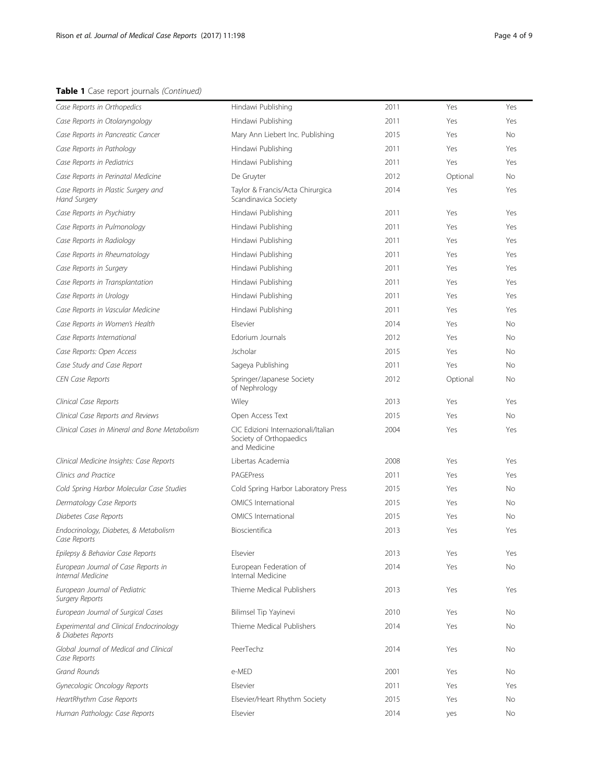| Case Reports in Orthopedics                                   | Hindawi Publishing                                                             | 2011 | Yes      | Yes       |
|---------------------------------------------------------------|--------------------------------------------------------------------------------|------|----------|-----------|
| Case Reports in Otolaryngology                                | Hindawi Publishing                                                             | 2011 | Yes      | Yes       |
| Case Reports in Pancreatic Cancer                             | Mary Ann Liebert Inc. Publishing                                               | 2015 | Yes      | No        |
| Case Reports in Pathology                                     | Hindawi Publishing                                                             | 2011 | Yes      | Yes       |
| Case Reports in Pediatrics                                    | Hindawi Publishing                                                             | 2011 | Yes      | Yes       |
| Case Reports in Perinatal Medicine                            | De Gruyter                                                                     | 2012 | Optional | No        |
| Case Reports in Plastic Surgery and<br>Hand Surgery           | Taylor & Francis/Acta Chirurgica<br>Scandinavica Society                       | 2014 | Yes      | Yes       |
| Case Reports in Psychiatry                                    | Hindawi Publishing                                                             | 2011 | Yes      | Yes       |
| Case Reports in Pulmonology                                   | Hindawi Publishing                                                             | 2011 | Yes      | Yes       |
| Case Reports in Radiology                                     | Hindawi Publishing                                                             | 2011 | Yes      | Yes       |
| Case Reports in Rheumatology                                  | Hindawi Publishing                                                             | 2011 | Yes      | Yes       |
| Case Reports in Surgery                                       | Hindawi Publishing                                                             | 2011 | Yes      | Yes       |
| Case Reports in Transplantation                               | Hindawi Publishing                                                             | 2011 | Yes      | Yes       |
| Case Reports in Urology                                       | Hindawi Publishing                                                             | 2011 | Yes      | Yes       |
| Case Reports in Vascular Medicine                             | Hindawi Publishing                                                             | 2011 | Yes      | Yes       |
| Case Reports in Women's Health                                | Flsevier                                                                       | 2014 | Yes      | No        |
| Case Reports International                                    | <b>Edorium Journals</b>                                                        | 2012 | Yes      | No        |
| Case Reports: Open Access                                     | Jscholar                                                                       | 2015 | Yes      | No        |
| Case Study and Case Report                                    | Sageya Publishing                                                              | 2011 | Yes      | No        |
| <b>CEN Case Reports</b>                                       | Springer/Japanese Society<br>of Nephrology                                     | 2012 | Optional | No        |
| Clinical Case Reports                                         | Wiley                                                                          | 2013 | Yes      | Yes       |
| Clinical Case Reports and Reviews                             | Open Access Text                                                               | 2015 | Yes      | <b>No</b> |
| Clinical Cases in Mineral and Bone Metabolism                 | CIC Edizioni Internazionali/Italian<br>Society of Orthopaedics<br>and Medicine | 2004 | Yes      | Yes       |
| Clinical Medicine Insights: Case Reports                      | Libertas Academia                                                              | 2008 | Yes      | Yes       |
| <b>Clinics and Practice</b>                                   | PAGEPress                                                                      | 2011 | Yes      | Yes       |
| Cold Spring Harbor Molecular Case Studies                     | Cold Spring Harbor Laboratory Press                                            | 2015 | Yes      | No        |
| Dermatology Case Reports                                      | <b>OMICS</b> International                                                     | 2015 | Yes      | No        |
| Diabetes Case Reports                                         | <b>OMICS International</b>                                                     | 2015 | Yes      | <b>No</b> |
| Endocrinology, Diabetes, & Metabolism<br>Case Reports         | Bioscientifica                                                                 | 2013 | Yes      | Yes       |
| Epilepsy & Behavior Case Reports                              | Elsevier                                                                       | 2013 | Yes      | Yes       |
| European Journal of Case Reports in<br>Internal Medicine      | European Federation of<br>Internal Medicine                                    | 2014 | Yes      | No        |
| European Journal of Pediatric<br>Surgery Reports              | Thieme Medical Publishers                                                      | 2013 | Yes      | Yes       |
| European Journal of Surgical Cases                            | Bilimsel Tip Yayinevi                                                          | 2010 | Yes      | No        |
| Experimental and Clinical Endocrinology<br>& Diabetes Reports | Thieme Medical Publishers                                                      | 2014 | Yes      | No        |
| Global Journal of Medical and Clinical<br>Case Reports        | PeerTechz                                                                      | 2014 | Yes      | No        |
| Grand Rounds                                                  | e-MED                                                                          | 2001 | Yes      | No        |
| Gynecologic Oncology Reports                                  | Elsevier                                                                       | 2011 | Yes      | Yes       |
| <b>HeartRhythm Case Reports</b>                               | Elsevier/Heart Rhythm Society                                                  | 2015 | Yes      | No        |
| Human Pathology: Case Reports                                 | Elsevier                                                                       | 2014 | yes      | No        |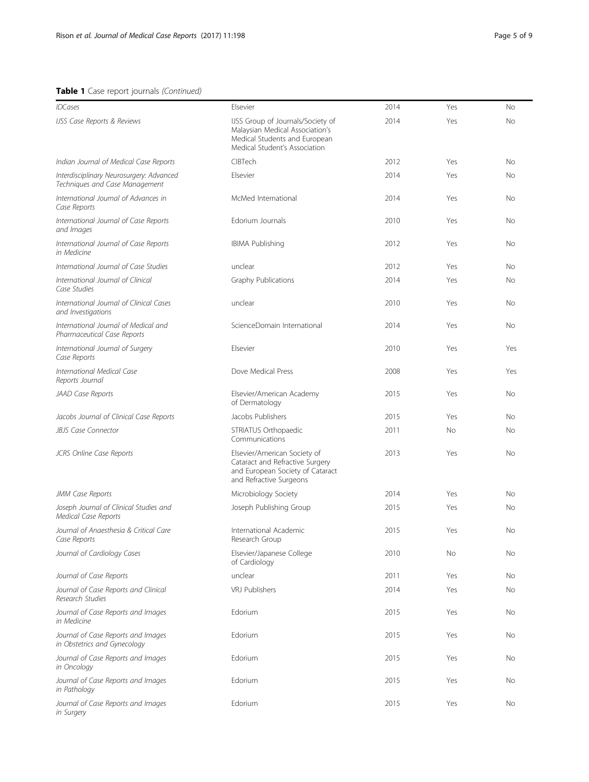| <b>IDCases</b>                                                             | Elsevier                                                                                                                               | 2014 | Yes | No        |
|----------------------------------------------------------------------------|----------------------------------------------------------------------------------------------------------------------------------------|------|-----|-----------|
| <b>IJSS Case Reports &amp; Reviews</b>                                     | IJSS Group of Journals/Society of<br>Malaysian Medical Association's<br>Medical Students and European<br>Medical Student's Association | 2014 | Yes | <b>No</b> |
| Indian Journal of Medical Case Reports                                     | CIBTech                                                                                                                                | 2012 | Yes | <b>No</b> |
| Interdisciplinary Neurosurgery: Advanced<br>Techniques and Case Management | Elsevier                                                                                                                               | 2014 | Yes | No        |
| International Journal of Advances in<br>Case Reports                       | McMed International                                                                                                                    | 2014 | Yes | <b>No</b> |
| International Journal of Case Reports<br>and Images                        | Edorium Journals                                                                                                                       | 2010 | Yes | <b>No</b> |
| International Journal of Case Reports<br>in Medicine                       | <b>IBIMA Publishing</b>                                                                                                                | 2012 | Yes | No        |
| International Journal of Case Studies                                      | unclear                                                                                                                                | 2012 | Yes | <b>No</b> |
| International Journal of Clinical<br>Case Studies                          | Graphy Publications                                                                                                                    | 2014 | Yes | <b>No</b> |
| International Journal of Clinical Cases<br>and Investigations              | unclear                                                                                                                                | 2010 | Yes | No        |
| International Journal of Medical and<br>Pharmaceutical Case Reports        | ScienceDomain International                                                                                                            | 2014 | Yes | <b>No</b> |
| International Journal of Surgery<br>Case Reports                           | Flsevier                                                                                                                               | 2010 | Yes | Yes       |
| International Medical Case<br>Reports Journal                              | Dove Medical Press                                                                                                                     | 2008 | Yes | Yes       |
| JAAD Case Reports                                                          | Elsevier/American Academy<br>of Dermatology                                                                                            | 2015 | Yes | <b>No</b> |
| Jacobs Journal of Clinical Case Reports                                    | Jacobs Publishers                                                                                                                      | 2015 | Yes | <b>No</b> |
| JBJS Case Connector                                                        | STRIATUS Orthopaedic<br>Communications                                                                                                 | 2011 | No  | No        |
| JCRS Online Case Reports                                                   | Elsevier/American Society of<br>Cataract and Refractive Surgery<br>and European Society of Cataract<br>and Refractive Surgeons         | 2013 | Yes | <b>No</b> |
| <b>JMM Case Reports</b>                                                    | Microbiology Society                                                                                                                   | 2014 | Yes | <b>No</b> |
| Joseph Journal of Clinical Studies and<br><b>Medical Case Reports</b>      | Joseph Publishing Group                                                                                                                | 2015 | Yes | No        |
| Journal of Anaesthesia & Critical Care<br>Case Reports                     | International Academic<br>Research Group                                                                                               | 2015 | Yes | <b>No</b> |
| Journal of Cardiology Cases                                                | Elsevier/Japanese College<br>of Cardiology                                                                                             | 2010 | No  | No        |
| Journal of Case Reports                                                    | unclear                                                                                                                                | 2011 | Yes | No        |
| Journal of Case Reports and Clinical<br>Research Studies                   | <b>VRJ Publishers</b>                                                                                                                  | 2014 | Yes | <b>No</b> |
| Journal of Case Reports and Images<br>in Medicine                          | Edorium                                                                                                                                | 2015 | Yes | <b>No</b> |
| Journal of Case Reports and Images<br>in Obstetrics and Gynecology         | Edorium                                                                                                                                | 2015 | Yes | No        |
| Journal of Case Reports and Images<br>in Oncology                          | Edorium                                                                                                                                | 2015 | Yes | No        |
| Journal of Case Reports and Images<br>in Pathology                         | Edorium                                                                                                                                | 2015 | Yes | No        |
| Journal of Case Reports and Images<br>in Surgery                           | Edorium                                                                                                                                | 2015 | Yes | No        |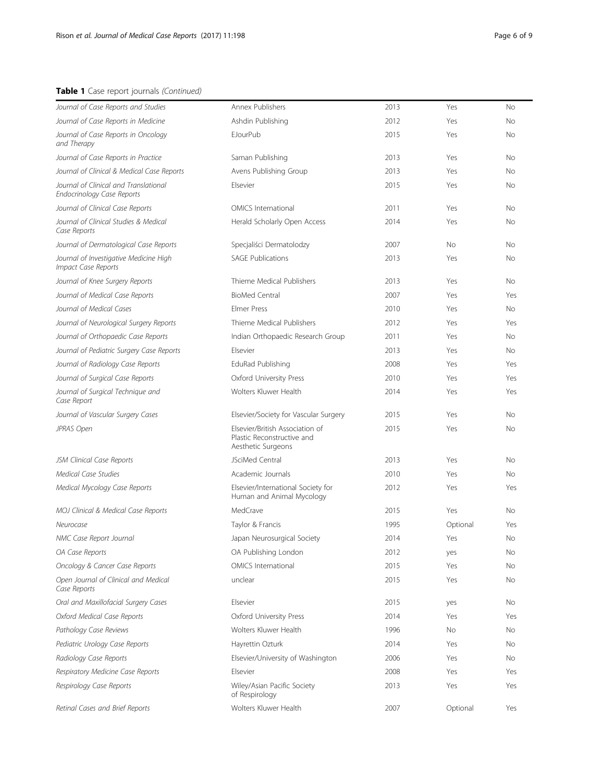| Journal of Case Reports and Studies                                 | Annex Publishers                                                                    | 2013 | Yes      | No        |
|---------------------------------------------------------------------|-------------------------------------------------------------------------------------|------|----------|-----------|
| Journal of Case Reports in Medicine                                 | Ashdin Publishing                                                                   | 2012 | Yes      | <b>No</b> |
| Journal of Case Reports in Oncology<br>and Therapy                  | EJourPub                                                                            | 2015 | Yes      | No        |
| Journal of Case Reports in Practice                                 | Saman Publishing                                                                    | 2013 | Yes      | No        |
| Journal of Clinical & Medical Case Reports                          | Avens Publishing Group                                                              | 2013 | Yes      | <b>No</b> |
| Journal of Clinical and Translational<br>Endocrinology Case Reports | Elsevier                                                                            | 2015 | Yes      | No        |
| Journal of Clinical Case Reports                                    | <b>OMICS</b> International                                                          | 2011 | Yes      | No        |
| Journal of Clinical Studies & Medical<br>Case Reports               | Herald Scholarly Open Access                                                        | 2014 | Yes      | No        |
| Journal of Dermatological Case Reports                              | Specjaliści Dermatolodzy                                                            | 2007 | No       | <b>No</b> |
| Journal of Investigative Medicine High<br>Impact Case Reports       | <b>SAGE Publications</b>                                                            | 2013 | Yes      | No        |
| Journal of Knee Surgery Reports                                     | Thieme Medical Publishers                                                           | 2013 | Yes      | <b>No</b> |
| Journal of Medical Case Reports                                     | <b>BioMed Central</b>                                                               | 2007 | Yes      | Yes       |
| Journal of Medical Cases                                            | <b>Elmer Press</b>                                                                  | 2010 | Yes      | No        |
| Journal of Neurological Surgery Reports                             | Thieme Medical Publishers                                                           | 2012 | Yes      | Yes       |
| Journal of Orthopaedic Case Reports                                 | Indian Orthopaedic Research Group                                                   | 2011 | Yes      | <b>No</b> |
| Journal of Pediatric Surgery Case Reports                           | Elsevier                                                                            | 2013 | Yes      | No        |
| Journal of Radiology Case Reports                                   | EduRad Publishing                                                                   | 2008 | Yes      | Yes       |
| Journal of Surgical Case Reports                                    | Oxford University Press                                                             | 2010 | Yes      | Yes       |
| Journal of Surgical Technique and<br>Case Report                    | Wolters Kluwer Health                                                               | 2014 | Yes      | Yes       |
| Journal of Vascular Surgery Cases                                   | Elsevier/Society for Vascular Surgery                                               | 2015 | Yes      | <b>No</b> |
| JPRAS Open                                                          | Elsevier/British Association of<br>Plastic Reconstructive and<br>Aesthetic Surgeons | 2015 | Yes      | No        |
| <b>JSM Clinical Case Reports</b>                                    | JSciMed Central                                                                     | 2013 | Yes      | No        |
| <b>Medical Case Studies</b>                                         | Academic Journals                                                                   | 2010 | Yes      | No.       |
| Medical Mycology Case Reports                                       | Elsevier/International Society for<br>Human and Animal Mycology                     | 2012 | Yes      | Yes       |
| MOJ Clinical & Medical Case Reports                                 | MedCrave                                                                            | 2015 | Yes      | No        |
| Neurocase                                                           | Taylor & Francis                                                                    | 1995 | Optional | Yes       |
| NMC Case Report Journal                                             | Japan Neurosurgical Society                                                         | 2014 | Yes      | No        |
| OA Case Reports                                                     | OA Publishing London                                                                | 2012 | yes      | No        |
| Oncology & Cancer Case Reports                                      | <b>OMICS International</b>                                                          | 2015 | Yes      | No        |
| Open Journal of Clinical and Medical<br>Case Reports                | unclear                                                                             | 2015 | Yes      | No        |
| Oral and Maxillofacial Surgery Cases                                | Elsevier                                                                            | 2015 | yes      | No.       |
| Oxford Medical Case Reports                                         | Oxford University Press                                                             | 2014 | Yes      | Yes       |
| Pathology Case Reviews                                              | Wolters Kluwer Health                                                               | 1996 | No       | No        |
| Pediatric Urology Case Reports                                      | Hayrettin Ozturk                                                                    | 2014 | Yes      | No.       |
| Radiology Case Reports                                              | Elsevier/University of Washington                                                   | 2006 | Yes      | No.       |
| Respiratory Medicine Case Reports                                   | Elsevier                                                                            | 2008 | Yes      | Yes       |
| Respirology Case Reports                                            | Wiley/Asian Pacific Society<br>of Respirology                                       | 2013 | Yes      | Yes       |
| Retinal Cases and Brief Reports                                     | Wolters Kluwer Health                                                               | 2007 | Optional | Yes       |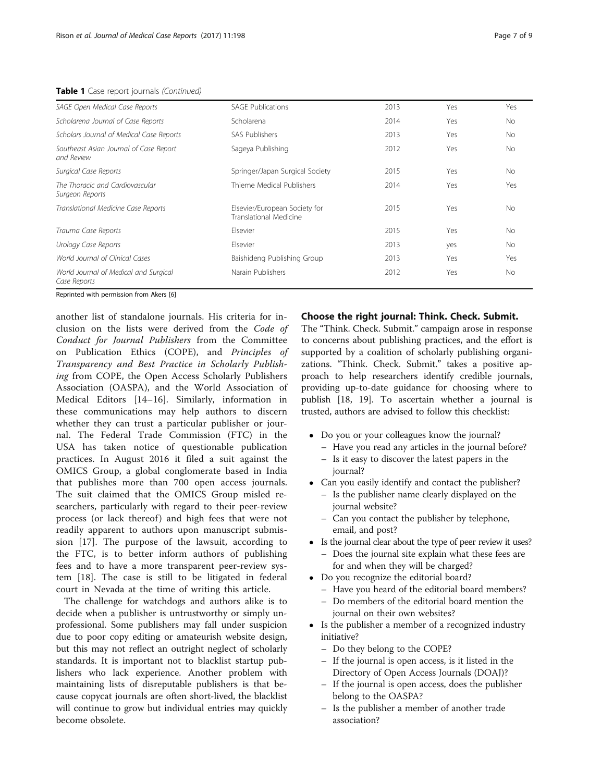| SAGE Open Medical Case Reports                        | <b>SAGE Publications</b>                                | 2013 | Yes  | Yes       |
|-------------------------------------------------------|---------------------------------------------------------|------|------|-----------|
| Scholarena Journal of Case Reports                    | Scholarena                                              | 2014 | Yes  | No        |
| Scholars Journal of Medical Case Reports              | <b>SAS Publishers</b>                                   | 2013 | Yes  | No        |
| Southeast Asian Journal of Case Report<br>and Review  | Sageya Publishing                                       | 2012 | Yes  | No        |
| <b>Surgical Case Reports</b>                          | Springer/Japan Surgical Society                         | 2015 | Yes. | No        |
| The Thoracic and Cardiovascular<br>Surgeon Reports    | Thieme Medical Publishers                               | 2014 | Yes  | Yes       |
| Translational Medicine Case Reports                   | Elsevier/European Society for<br>Translational Medicine | 2015 | Yes  | No        |
| Trauma Case Reports                                   | Flsevier                                                | 2015 | Yes  | No        |
| Urology Case Reports                                  | Elsevier                                                | 2013 | yes  | <b>No</b> |
| World Journal of Clinical Cases                       | Baishideng Publishing Group                             | 2013 | Yes. | Yes       |
| World Journal of Medical and Surgical<br>Case Reports | Narain Publishers                                       | 2012 | Yes  | No        |

Reprinted with permission from Akers [[6](#page-8-0)]

another list of standalone journals. His criteria for inclusion on the lists were derived from the Code of Conduct for Journal Publishers from the Committee on Publication Ethics (COPE), and Principles of Transparency and Best Practice in Scholarly Publishing from COPE, the Open Access Scholarly Publishers Association (OASPA), and the World Association of Medical Editors [[14](#page-8-0)–[16\]](#page-8-0). Similarly, information in these communications may help authors to discern whether they can trust a particular publisher or journal. The Federal Trade Commission (FTC) in the USA has taken notice of questionable publication practices. In August 2016 it filed a suit against the OMICS Group, a global conglomerate based in India that publishes more than 700 open access journals. The suit claimed that the OMICS Group misled researchers, particularly with regard to their peer-review process (or lack thereof) and high fees that were not readily apparent to authors upon manuscript submission [[17](#page-8-0)]. The purpose of the lawsuit, according to the FTC, is to better inform authors of publishing fees and to have a more transparent peer-review system [[18\]](#page-8-0). The case is still to be litigated in federal court in Nevada at the time of writing this article.

The challenge for watchdogs and authors alike is to decide when a publisher is untrustworthy or simply unprofessional. Some publishers may fall under suspicion due to poor copy editing or amateurish website design, but this may not reflect an outright neglect of scholarly standards. It is important not to blacklist startup publishers who lack experience. Another problem with maintaining lists of disreputable publishers is that because copycat journals are often short-lived, the blacklist will continue to grow but individual entries may quickly become obsolete.

## Choose the right journal: Think. Check. Submit.

The "Think. Check. Submit." campaign arose in response to concerns about publishing practices, and the effort is supported by a coalition of scholarly publishing organizations. "Think. Check. Submit." takes a positive approach to help researchers identify credible journals, providing up-to-date guidance for choosing where to publish [\[18](#page-8-0), [19\]](#page-8-0). To ascertain whether a journal is trusted, authors are advised to follow this checklist:

- Do you or your colleagues know the journal?
	- Have you read any articles in the journal before?
	- Is it easy to discover the latest papers in the journal?
- Can you easily identify and contact the publisher?
	- Is the publisher name clearly displayed on the journal website?
	- Can you contact the publisher by telephone, email, and post?
- Is the journal clear about the type of peer review it uses?
	- Does the journal site explain what these fees are for and when they will be charged?
- Do you recognize the editorial board?
	- Have you heard of the editorial board members?
	- Do members of the editorial board mention the journal on their own websites?
- Is the publisher a member of a recognized industry initiative?
	- Do they belong to the COPE?
	- If the journal is open access, is it listed in the Directory of Open Access Journals (DOAJ)?
	- If the journal is open access, does the publisher belong to the OASPA?
	- Is the publisher a member of another trade association?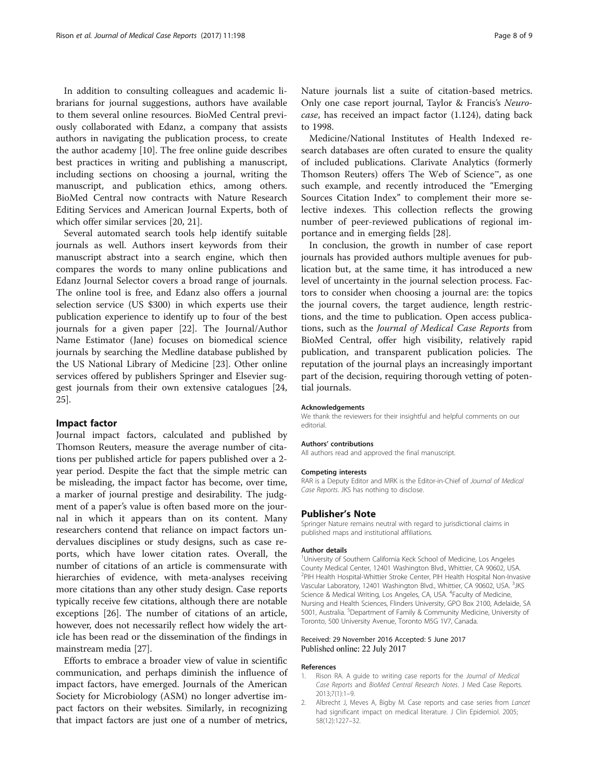<span id="page-7-0"></span>In addition to consulting colleagues and academic librarians for journal suggestions, authors have available to them several online resources. BioMed Central previously collaborated with Edanz, a company that assists authors in navigating the publication process, to create the author academy [\[10\]](#page-8-0). The free online guide describes best practices in writing and publishing a manuscript, including sections on choosing a journal, writing the manuscript, and publication ethics, among others. BioMed Central now contracts with Nature Research Editing Services and American Journal Experts, both of which offer similar services [[20](#page-8-0), [21](#page-8-0)].

Several automated search tools help identify suitable journals as well. Authors insert keywords from their manuscript abstract into a search engine, which then compares the words to many online publications and Edanz Journal Selector covers a broad range of journals. The online tool is free, and Edanz also offers a journal selection service (US \$300) in which experts use their publication experience to identify up to four of the best journals for a given paper [\[22\]](#page-8-0). The Journal/Author Name Estimator (Jane) focuses on biomedical science journals by searching the Medline database published by the US National Library of Medicine [\[23\]](#page-8-0). Other online services offered by publishers Springer and Elsevier suggest journals from their own extensive catalogues [[24](#page-8-0), [25\]](#page-8-0).

#### Impact factor

Journal impact factors, calculated and published by Thomson Reuters, measure the average number of citations per published article for papers published over a 2 year period. Despite the fact that the simple metric can be misleading, the impact factor has become, over time, a marker of journal prestige and desirability. The judgment of a paper's value is often based more on the journal in which it appears than on its content. Many researchers contend that reliance on impact factors undervalues disciplines or study designs, such as case reports, which have lower citation rates. Overall, the number of citations of an article is commensurate with hierarchies of evidence, with meta-analyses receiving more citations than any other study design. Case reports typically receive few citations, although there are notable exceptions [[26](#page-8-0)]. The number of citations of an article, however, does not necessarily reflect how widely the article has been read or the dissemination of the findings in mainstream media [[27](#page-8-0)].

Efforts to embrace a broader view of value in scientific communication, and perhaps diminish the influence of impact factors, have emerged. Journals of the American Society for Microbiology (ASM) no longer advertise impact factors on their websites. Similarly, in recognizing that impact factors are just one of a number of metrics,

Nature journals list a suite of citation-based metrics. Only one case report journal, Taylor & Francis's Neurocase, has received an impact factor (1.124), dating back to 1998.

Medicine/National Institutes of Health Indexed research databases are often curated to ensure the quality of included publications. Clarivate Analytics (formerly Thomson Reuters) offers The Web of Science™, as one such example, and recently introduced the "Emerging Sources Citation Index" to complement their more selective indexes. This collection reflects the growing number of peer-reviewed publications of regional importance and in emerging fields [[28\]](#page-8-0).

In conclusion, the growth in number of case report journals has provided authors multiple avenues for publication but, at the same time, it has introduced a new level of uncertainty in the journal selection process. Factors to consider when choosing a journal are: the topics the journal covers, the target audience, length restrictions, and the time to publication. Open access publications, such as the Journal of Medical Case Reports from BioMed Central, offer high visibility, relatively rapid publication, and transparent publication policies. The reputation of the journal plays an increasingly important part of the decision, requiring thorough vetting of potential journals.

#### Acknowledgements

We thank the reviewers for their insightful and helpful comments on our editorial.

#### Authors' contributions

All authors read and approved the final manuscript.

#### Competing interests

RAR is a Deputy Editor and MRK is the Editor-in-Chief of Journal of Medical Case Reports. JKS has nothing to disclose.

#### Publisher's Note

Springer Nature remains neutral with regard to jurisdictional claims in published maps and institutional affiliations.

#### Author details

<sup>1</sup>University of Southern California Keck School of Medicine, Los Angeles County Medical Center, 12401 Washington Blvd., Whittier, CA 90602, USA. 2 PIH Health Hospital-Whittier Stroke Center, PIH Health Hospital Non-Invasive Vascular Laboratory, 12401 Washington Blvd., Whittier, CA 90602, USA. <sup>3</sup>JKS Science & Medical Writing, Los Angeles, CA, USA. <sup>4</sup> Faculty of Medicine, Nursing and Health Sciences, Flinders University, GPO Box 2100, Adelaide, SA 5001, Australia. <sup>5</sup>Department of Family & Community Medicine, University of Toronto, 500 University Avenue, Toronto M5G 1V7, Canada.

#### Received: 29 November 2016 Accepted: 5 June 2017 Published online: 22 July 2017

#### References

- 1. Rison RA. A guide to writing case reports for the Journal of Medical Case Reports and BioMed Central Research Notes. J Med Case Reports. 2013;7(1):1–9.
- 2. Albrecht J, Meves A, Bigby M. Case reports and case series from Lancet had significant impact on medical literature. J Clin Epidemiol. 2005; 58(12):1227–32.